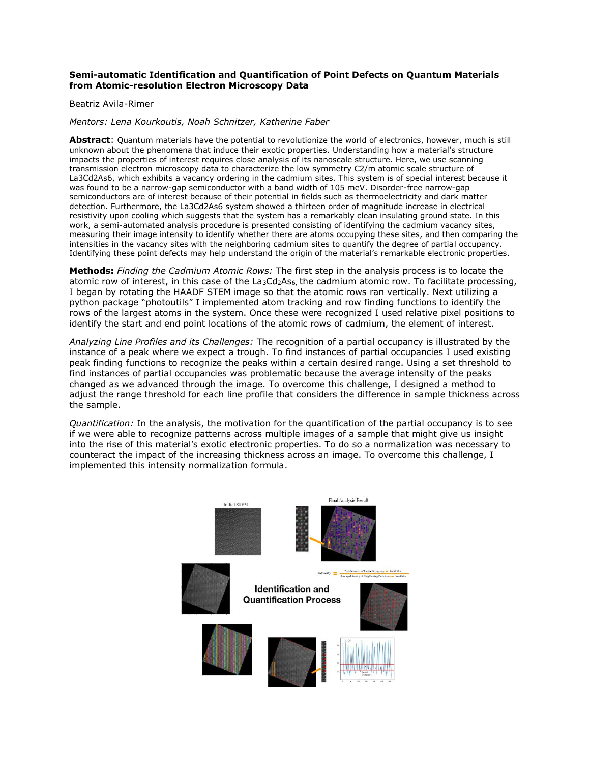# **Semi-automatic Identification and Quantification of Point Defects on Quantum Materials from Atomic-resolution Electron Microscopy Data**

# Beatriz Avila-Rimer

## *Mentors: Lena Kourkoutis, Noah Schnitzer, Katherine Faber*

**Abstract**: Quantum materials have the potential to revolutionize the world of electronics, however, much is still unknown about the phenomena that induce their exotic properties. Understanding how a material's structure impacts the properties of interest requires close analysis of its nanoscale structure. Here, we use scanning transmission electron microscopy data to characterize the low symmetry C2/m atomic scale structure of La3Cd2As6, which exhibits a vacancy ordering in the cadmium sites. This system is of special interest because it was found to be a narrow-gap semiconductor with a band width of 105 meV. Disorder-free narrow-gap semiconductors are of interest because of their potential in fields such as thermoelectricity and dark matter detection. Furthermore, the La3Cd2As6 system showed a thirteen order of magnitude increase in electrical resistivity upon cooling which suggests that the system has a remarkably clean insulating ground state. In this work, a semi-automated analysis procedure is presented consisting of identifying the cadmium vacancy sites, measuring their image intensity to identify whether there are atoms occupying these sites, and then comparing the intensities in the vacancy sites with the neighboring cadmium sites to quantify the degree of partial occupancy. Identifying these point defects may help understand the origin of the material's remarkable electronic properties.

**Methods:** *Finding the Cadmium Atomic Rows:* The first step in the analysis process is to locate the atomic row of interest, in this case of the La<sub>3</sub>Cd<sub>2</sub>As<sub>6</sub>, the cadmium atomic row. To facilitate processing, I began by rotating the HAADF STEM image so that the atomic rows ran vertically. Next utilizing a python package "photoutils" I implemented atom tracking and row finding functions to identify the rows of the largest atoms in the system. Once these were recognized I used relative pixel positions to identify the start and end point locations of the atomic rows of cadmium, the element of interest.

*Analyzing Line Profiles and its Challenges:* The recognition of a partial occupancy is illustrated by the instance of a peak where we expect a trough. To find instances of partial occupancies I used existing peak finding functions to recognize the peaks within a certain desired range. Using a set threshold to find instances of partial occupancies was problematic because the average intensity of the peaks changed as we advanced through the image. To overcome this challenge, I designed a method to adjust the range threshold for each line profile that considers the difference in sample thickness across the sample.

*Quantification:* In the analysis, the motivation for the quantification of the partial occupancy is to see if we were able to recognize patterns across multiple images of a sample that might give us insight into the rise of this material's exotic electronic properties. To do so a normalization was necessary to counteract the impact of the increasing thickness across an image. To overcome this challenge, I implemented this intensity normalization formula.